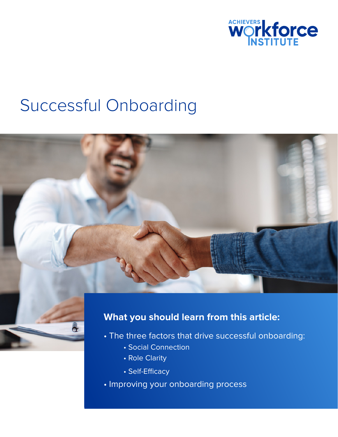

# Successful Onboarding



### **What you should learn from this article:**

- The three factors that drive successful onboarding:
	- Social Connection
	- Role Clarity

đ

- Self-Efficacy
- Improving your onboarding process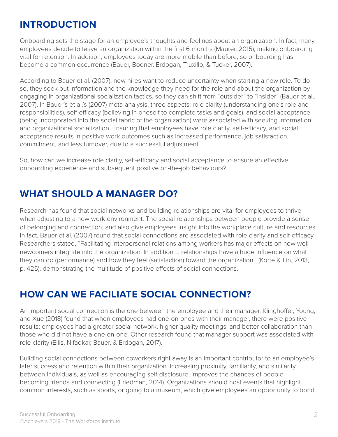## **INTRODUCTION**

Onboarding sets the stage for an employee's thoughts and feelings about an organization. In fact, many employees decide to leave an organization within the first 6 months (Maurer, 2015), making onboarding vital for retention. In addition, employees today are more mobile than before, so onboarding has become a common occurrence (Bauer, Bodner, Erdogan, Truxillo, & Tucker, 2007).

According to Bauer et al. (2007), new hires want to reduce uncertainty when starting a new role. To do so, they seek out information and the knowledge they need for the role and about the organization by engaging in organizational socialization tactics, so they can shift from "outsider" to "insider" (Bauer et al., 2007). In Bauer's et al.'s (2007) meta-analysis, three aspects: role clarity (understanding one's role and responsibilities), self-efficacy (believing in oneself to complete tasks and goals), and social acceptance (being incorporated into the social fabric of the organization) were associated with seeking information and organizational socialization. Ensuring that employees have role clarity, self-efficacy, and social acceptance results in positive work outcomes such as increased performance, job satisfaction, commitment, and less turnover, due to a successful adjustment.

So, how can we increase role clarity, self-efficacy and social acceptance to ensure an effective onboarding experience and subsequent positive on-the-job behaviours?

## **WHAT SHOULD A MANAGER DO?**

Research has found that social networks and building relationships are vital for employees to thrive when adjusting to a new work environment. The social relationships between people provide a sense of belonging and connection, and also give employees insight into the workplace culture and resources. In fact, Bauer et al. (2007) found that social connections are associated with role clarity and self-efficacy. Researchers stated, "Facilitating interpersonal relations among workers has major effects on how well newcomers integrate into the organization. In addition … relationships have a huge influence on what they can do (performance) and how they feel (satisfaction) toward the organization," (Korte & Lin, 2013, p. 425), demonstrating the multitude of positive effects of social connections.

# **HOW CAN WE FACILIATE SOCIAL CONNECTION?**

An important social connection is the one between the employee and their manager. Klinghoffer, Young, and Xue (2018) found that when employees had one-on-ones with their manager, there were positive results: employees had a greater social network, higher quality meetings, and better collaboration than those who did not have a one-on-one. Other research found that manager support was associated with role clarity (Ellis, Nifadkar, Bauer, & Erdogan, 2017).

Building social connections between coworkers right away is an important contributor to an employee's later success and retention within their organization. Increasing proximity, familiarity, and similarity between individuals, as well as encouraging self-disclosure, improves the chances of people becoming friends and connecting (Friedman, 2014). Organizations should host events that highlight common interests, such as sports, or going to a museum, which give employees an opportunity to bond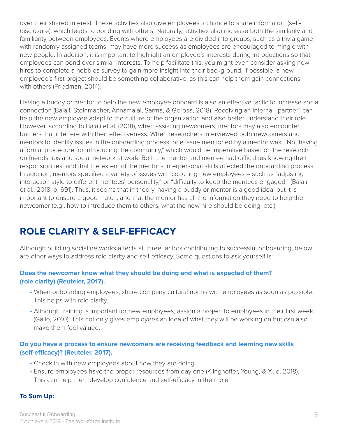over their shared interest. These activities also give employees a chance to share information (selfdisclosure), which leads to bonding with others. Naturally, activities also increase both the similarity and familiarity between employees. Events where employees are divided into groups, such as a trivia game with randomly assigned teams, may have more success as employees are encouraged to mingle with new people. In addition, it is important to highlight an employee's interests during introductions so that employees can bond over similar interests. To help facilitate this, you might even consider asking new hires to complete a hobbies survey to gain more insight into their background. If possible, a new employee's first project should be something collaborative, as this can help them gain connections with others (Friedman, 2014).

Having a buddy or mentor to help the new employee onboard is also an effective tactic to increase social connection (Balali, Steinmacher, Annamalai, Sarma, & Gerosa, 2018). Receiving an internal "partner" can help the new employee adapt to the culture of the organization and also better understand their role. However, according to Balali et al. (2018), when assisting newcomers, mentors may also encounter barriers that interfere with their effectiveness. When researchers interviewed both newcomers and mentors to identify issues in the onboarding process, one issue mentioned by a mentor was, "Not having a formal procedure for introducing the community," which would be imperative based on the research on friendships and social network at work. Both the mentor and mentee had difficulties knowing their responsibilities, and that the extent of the mentor's interpersonal skills affected the onboarding process. In addition, mentors specified a variety of issues with coaching new employees – such as "adjusting interaction style to different mentees' personality," or "difficulty to keep the mentees engaged," (Balali et al., 2018, p. 691). Thus, it seems that in theory, having a buddy or mentor is a good idea, but it is important to ensure a good match, and that the mentor has all the information they need to help the newcomer (e.g., how to introduce them to others, what the new hire should be doing, etc.)

# **ROLE CLARITY & SELF-EFFICACY**

Although building social networks affects all three factors contributing to successful onboarding, below are other ways to address role clarity and self-efficacy. Some questions to ask yourself is:

#### **Does the newcomer know what they should be doing and what is expected of them? (role clarity) (Reuteler, 2017).**

- When onboarding employees, share company cultural norms with employees as soon as possible. This helps with role clarity.
- Although training is important for new employees, assign a project to employees in their first week (Gallo, 2010). This not only gives employees an idea of what they will be working on but can also make them feel valued.

#### **Do you have a process to ensure newcomers are receiving feedback and learning new skills (self-efficacy)? (Reuteler, 2017).**

- Check in with new employees about how they are doing
- Ensure employees have the proper resources from day one (Klinghoffer, Young, & Xue, 2018). This can help them develop confidence and self-efficacy in their role.

#### **To Sum Up:**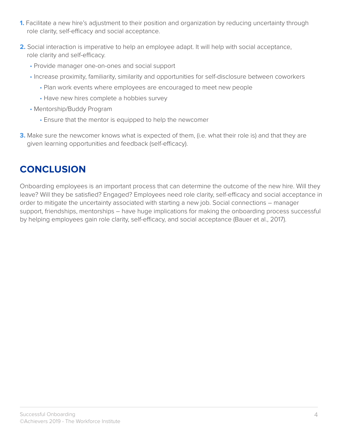- **1.** Facilitate a new hire's adjustment to their position and organization by reducing uncertainty through role clarity, self-efficacy and social acceptance.
- **2.** Social interaction is imperative to help an employee adapt. It will help with social acceptance, role clarity and self-efficacy.
	- Provide manager one-on-ones and social support
	- Increase proximity, familiarity, similarity and opportunities for self-disclosure between coworkers
		- Plan work events where employees are encouraged to meet new people
		- Have new hires complete a hobbies survey
	- Mentorship/Buddy Program
		- Ensure that the mentor is equipped to help the newcomer
- **3.** Make sure the newcomer knows what is expected of them, (i.e. what their role is) and that they are given learning opportunities and feedback (self-efficacy).

### **CONCLUSION**

Onboarding employees is an important process that can determine the outcome of the new hire. Will they leave? Will they be satisfied? Engaged? Employees need role clarity, self-efficacy and social acceptance in order to mitigate the uncertainty associated with starting a new job. Social connections – manager support, friendships, mentorships – have huge implications for making the onboarding process successful by helping employees gain role clarity, self-efficacy, and social acceptance (Bauer et al., 2017).